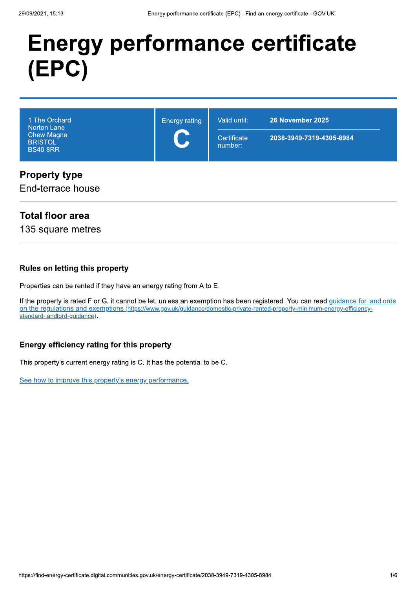# **Energy performance certificate** (EPC)

| 1 The Orchard<br>Norton Lane<br>Chew Magna<br><b>BRISTOL</b><br><b>BS40 8RR</b> | <b>Energy rating</b><br>$\blacktriangleright$ | Valid until:<br>Certificate<br>number: | 26 November 2025<br>2038-3949-7319-4305-8984 |
|---------------------------------------------------------------------------------|-----------------------------------------------|----------------------------------------|----------------------------------------------|
| <b>Property type</b>                                                            |                                               |                                        |                                              |

# End-terrace house

## **Total floor area**

135 square metres

### **Rules on letting this property**

Properties can be rented if they have an energy rating from A to E.

If the property is rated F or G, it cannot be let, unless an exemption has been registered. You can read guidance for landlords on the requlations and exemptions (https://www.gov.uk/guidance/domestic-private-rented-property-minimum-energy-efficiencystandard-landlord-guidance).

### Energy efficiency rating for this property

This property's current energy rating is C. It has the potential to be C.

See how to improve this property's energy performance.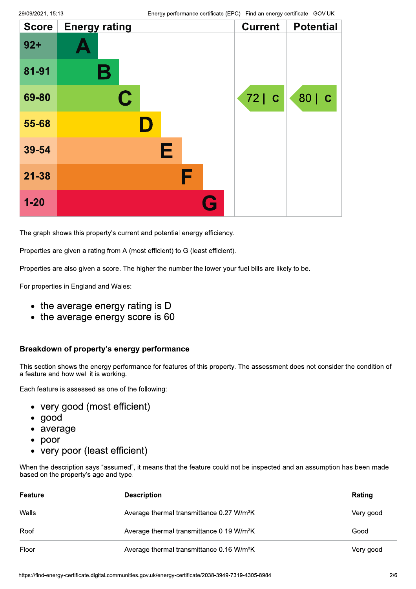| <b>Score</b> | <b>Energy rating</b> | <b>Current</b> | <b>Potential</b> |
|--------------|----------------------|----------------|------------------|
| $92 +$       |                      |                |                  |
| 81-91        | В                    |                |                  |
| 69-80        | C.                   | 72 C           | 80   C           |
| 55-68        |                      |                |                  |
| 39-54        | Е                    |                |                  |
| 21-38        | F                    |                |                  |
| $1 - 20$     |                      |                |                  |

The graph shows this property's current and potential energy efficiency.

Properties are given a rating from A (most efficient) to G (least efficient).

Properties are also given a score. The higher the number the lower your fuel bills are likely to be.

For properties in England and Wales:

- the average energy rating is D
- the average energy score is 60

### Breakdown of property's energy performance

This section shows the energy performance for features of this property. The assessment does not consider the condition of a feature and how well it is working.

Each feature is assessed as one of the following:

- very good (most efficient)
- qood
- average
- poor
- very poor (least efficient)

When the description says "assumed", it means that the feature could not be inspected and an assumption has been made based on the property's age and type.

| Feature | <b>Description</b>                                    | Rating    |
|---------|-------------------------------------------------------|-----------|
| Walls   | Average thermal transmittance 0.27 W/m <sup>2</sup> K | Very good |
| Roof    | Average thermal transmittance 0.19 W/m <sup>2</sup> K | Good      |
| Floor   | Average thermal transmittance 0.16 W/m <sup>2</sup> K | Very good |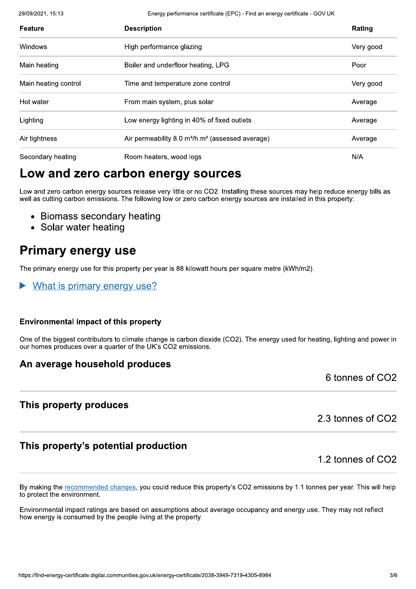29/09/2021, 15:13

Energy performance certificate (EPC) - Find an energy certificate - GOV.UK

| Feature              | <b>Description</b>                                                       | Rating    |
|----------------------|--------------------------------------------------------------------------|-----------|
| Windows              | High performance glazing                                                 | Very good |
| Main heating         | Boiler and underfloor heating, LPG                                       | Poor      |
| Main heating control | Time and temperature zone control                                        | Very good |
| Hot water            | From main system, plus solar                                             | Average   |
| Lighting             | Low energy lighting in 40% of fixed outlets                              | Average   |
| Air tightness        | Air permeability 8.0 m <sup>3</sup> /h.m <sup>2</sup> (assessed average) | Average   |
| Secondary heating    | Room heaters, wood logs                                                  | N/A       |

# Low and zero carbon energy sources

Low and zero carbon energy sources release very little or no CO2. Installing these sources may help reduce energy bills as well as cutting carbon emissions. The following low or zero carbon energy sources are installed in this property:

- Biomass secondary heating
- Solar water heating

# **Primary energy use**

The primary energy use for this property per year is 88 kilowatt hours per square metre (kWh/m2).

What is primary energy use?

### **Environmental impact of this property**

One of the biggest contributors to climate change is carbon dioxide (CO2). The energy used for heating, lighting and power in our homes produces over a quarter of the UK's CO2 emissions.

### An average household produces

6 tonnes of CO2

### This property produces

2.3 tonnes of CO2

# This property's potential production

1.2 tonnes of CO2

By making the recommended changes, you could reduce this property's CO2 emissions by 1.1 tonnes per year. This will help to protect the environment.

Environmental impact ratings are based on assumptions about average occupancy and energy use. They may not reflect how energy is consumed by the people living at the property.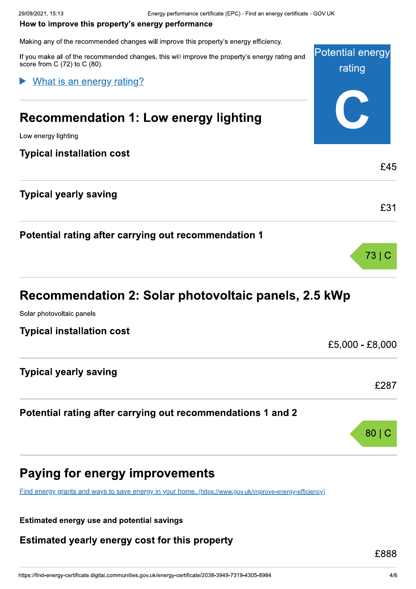| rating<br>What is an energy rating?<br><b>Recommendation 1: Low energy lighting</b><br>Low energy lighting<br><b>Typical installation cost</b><br>£45<br><b>Typical yearly saving</b><br>Potential rating after carrying out recommendation 1<br>73.<br>Recommendation 2: Solar photovoltaic panels, 2.5 kWp<br>Solar photovoltaic panels<br><b>Typical installation cost</b> |                              | £5,000 - £8,000 |
|-------------------------------------------------------------------------------------------------------------------------------------------------------------------------------------------------------------------------------------------------------------------------------------------------------------------------------------------------------------------------------|------------------------------|-----------------|
|                                                                                                                                                                                                                                                                                                                                                                               |                              |                 |
|                                                                                                                                                                                                                                                                                                                                                                               |                              |                 |
|                                                                                                                                                                                                                                                                                                                                                                               |                              |                 |
|                                                                                                                                                                                                                                                                                                                                                                               |                              |                 |
|                                                                                                                                                                                                                                                                                                                                                                               |                              |                 |
|                                                                                                                                                                                                                                                                                                                                                                               |                              | £31             |
|                                                                                                                                                                                                                                                                                                                                                                               |                              |                 |
|                                                                                                                                                                                                                                                                                                                                                                               |                              |                 |
|                                                                                                                                                                                                                                                                                                                                                                               |                              |                 |
|                                                                                                                                                                                                                                                                                                                                                                               |                              |                 |
|                                                                                                                                                                                                                                                                                                                                                                               |                              |                 |
| <b>Potential energy</b><br>If you make all of the recommended changes, this will improve the property's energy rating and                                                                                                                                                                                                                                                     | score from C (72) to C (80). |                 |
| Making any of the recommended changes will improve this property's energy efficiency.                                                                                                                                                                                                                                                                                         |                              |                 |
| How to improve this property's energy performance                                                                                                                                                                                                                                                                                                                             |                              |                 |

# Recommendation 2: Solar photovoltaic panels, 2.5 kWp

### Potential rating after carrying out recommendations 1 and 2



# Paying for energy improvements

Find energy grants and ways to save energy in your home, (https://www.gov.uk/improve-energy-efficiency)

Estimated energy use and potential savings

mated energy use and potential said<br>
imated yearly energy cost f Estimated yearly energy cost for this property

£888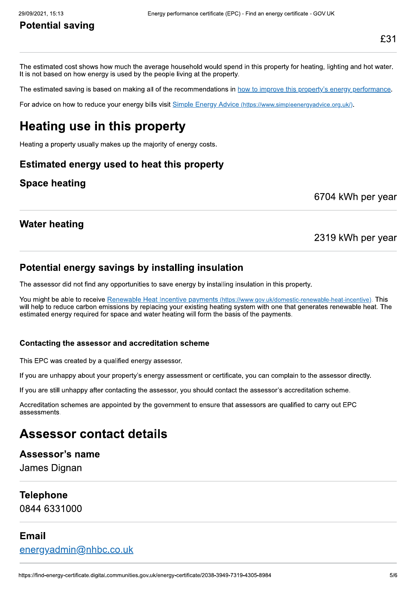# Potential saving

Energy performance certificate (EPC) - Find an energy certificate - GOV.UK<br> **Potential saving**<br>
The estimated cost shows how much the average household would spend in this property for heating, lighting and hot water.<br>
The The estimated cost shows how much the average household would spend in the it is not based on how energy is used by the people living at the property.<br>The estimated saving is based on making all of the recommendations in <u></u> pend in this property for heating, lighting arefy.<br>
in <u>how to improve this property's energy proton in how to improve this property's energy proton in the vice (https://www.simpleenergy.advice.org.uk/).</u>

The estimated saving is based on making all of the recommendations in <u>how to improve this property's energy performance</u>.<br>For advice on how to reduce your energy bills visit <u>Simple Energy Advice (https://www.simpleenergy</u>

nergy Advice (https://www.simpleenergyadvice.org.uk/)

### **Water heating**

### 2319 kWh per year

Water heating<br> **Potential energy savings by installing insulation**<br>
The assessor did not find any opportunities to save energy by installing insulation<br>
You might be able to receive <u>Renewable Heat Incentive payments (http</u> /www.gov.uk/do Potential energy savings by installing insulation<br>The assessor did not find any opportunities to save energy by installing insulation in this property.<br>You might be able to receive Renewable Heat Incentive payments (this s Fourmight be able the creatival <u>Heal traching the Harsdoment (the syminals direct when which with the big the syminal streated energy required for space and water heating will form the basis of the payments.<br> **Contacting </u>** 

Accreditation schemes are appointed by the government to ensure that assessors are qualified to carry out EPC assessments.

# Assessor contact details

### Assessor's name

James Dignan

### Telephone

0844 6331000

### Email

<u>energyadmin@nhbc.co.uk</u>